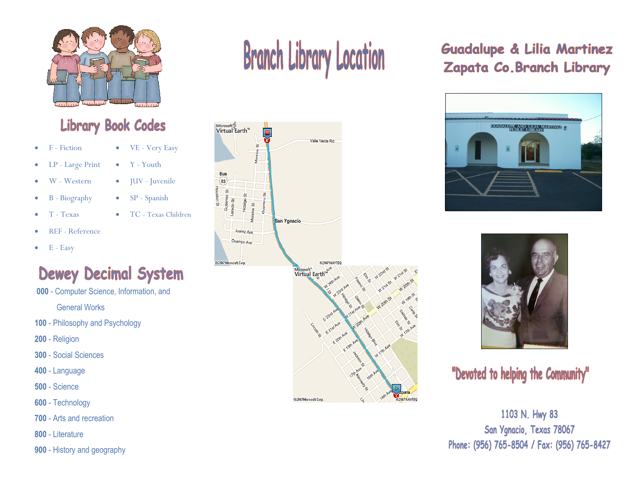

# **Library Book Codes**

• VE - Very Easy

• TC - Texas Children

• Y - Youth

• **JUV** - Juvenile

• SP - Spanish

- F Fiction
- LP Large Print
- W Western
- B Biography
- T Texas
- REF Reference
- $\bullet$  E Easy

# **Dewey Decimal System**

000 - Computer Science, Information, and

General Works

- 100 Philosophy and Psychology
- 200 Religion
- 300 Social Sciences
- 400 Language
- 500 Science
- 600 Technology
- 700 Arts and recreation
- 800 Literature
- 900 History and geography

# **Branch Library Location**



## **Guadalupe & Lilia Martinez** Zapata Co. Branch Library





# "Devoted to helping the Community"

1103 N. Hwy 83 San Ygnacio, Texas 78067 Phone: (956) 765-8504 / Fax: (956) 765-8427